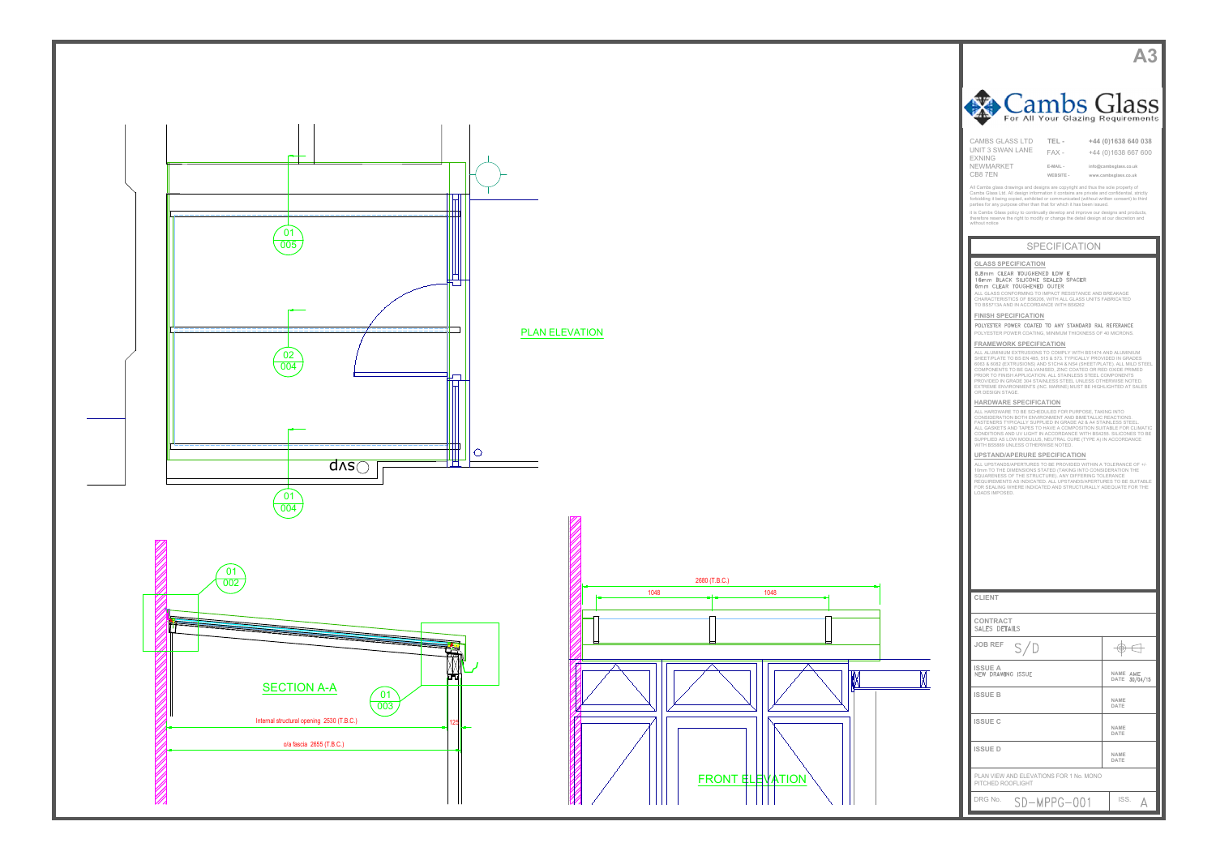

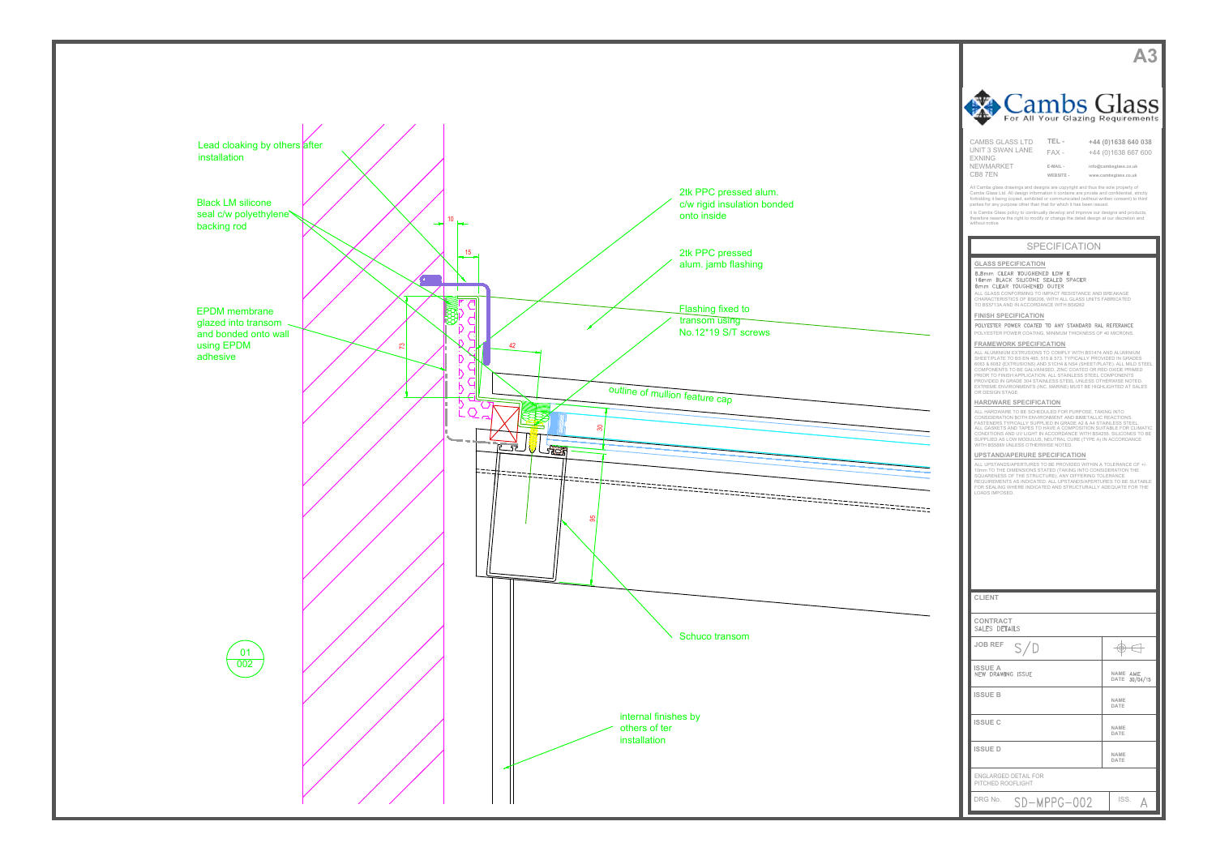



| Cambs Glass                                                                                                                                                                                                                                                                                                                                                                                                                                   |                                              |  |  |
|-----------------------------------------------------------------------------------------------------------------------------------------------------------------------------------------------------------------------------------------------------------------------------------------------------------------------------------------------------------------------------------------------------------------------------------------------|----------------------------------------------|--|--|
| For All Your Glazing Requirements<br><b>CAMBS GLASS LTD</b><br>TEL-                                                                                                                                                                                                                                                                                                                                                                           | +44 (0)1638 640 038                          |  |  |
| UNIT 3 SWAN LANE<br>$FAX -$<br><b>EXNING</b><br>NEWMARKET<br>E-MAIL -                                                                                                                                                                                                                                                                                                                                                                         | +44 (0)1638 667 600<br>info@cambsglass.co.uk |  |  |
| CB87EN<br>WEBSITE -<br>All Cambs glass drawings and designs are copyright and thus the sole property of<br>Cambs Glass Ltd. All design information it contains are private and confidential, strictly                                                                                                                                                                                                                                         | www.cambsglass.co.uk                         |  |  |
| forbidding it being copied, exhibited or communicated (without written consent) to third<br>parties for any purpose other than that for which it has been issued.<br>it is Cambs Glass policy to continually develop and improve our designs and products,<br>therefore reserve the right to modify or change the detail design at our discretion and                                                                                         |                                              |  |  |
| without notice<br><b>SPECIFICATION</b>                                                                                                                                                                                                                                                                                                                                                                                                        |                                              |  |  |
| <b>GLASS SPECIFICATION</b>                                                                                                                                                                                                                                                                                                                                                                                                                    |                                              |  |  |
| 8.8mm CLEAR TOUGHENED LOW E<br>16mm BLACK SILICONE SEALED SPACER<br>6mm CLEAR TOUGHENED OUTER<br>ALL GLASS CONFORMING TO IMPACT RESISTANCE AND BREAKAGE                                                                                                                                                                                                                                                                                       |                                              |  |  |
| CHARACTERISTICS OF BS6206, WITH ALL GLASS UNITS FABRICATED<br>TO BS5713A AND IN ACCORDANCE WITH BS6262<br><b>FINISH SPECIFICATION</b>                                                                                                                                                                                                                                                                                                         |                                              |  |  |
| POLYESTER POWER COATED TO ANY STANDARD RAL REFERANCE<br>POLYESTER POWER COATING, MINIMUM THICKNESS OF 40 MICRONS.                                                                                                                                                                                                                                                                                                                             |                                              |  |  |
| <b>FRAMEWORK SPECIFICATION</b><br>ALL ALUMINIUM EXTRUSIONS TO COMPLY WITH BS1474 AND ALUMINIUM<br>SHEET/PLATE TO BS EN 485, 515 & 573. TYPICALLY PROVIDED IN GRADES<br>6063 & 6082 (EXTRUSIONS) AND S1CH4 & NS4 (SHEET/PLATE). ALL MILD STEEL<br>COMPONENTS TO BE GALVANISED, ZINC COATED OR RED OXIDE PRIMED<br>PRIOR TO FINISH APPLICATION. ALL STAINLESS STEEL COMPONENTS<br>PROVIDED IN GRADE 304 STAINLESS STEEL UNLESS OTHERWISE NOTED. |                                              |  |  |
| EXTREME ENVIRONMENTS (INC. MARINE) MUST BE HIGHLIGHTED AT SALES<br>OR DESIGN STAGE.<br><b>HARDWARE SPECIFICATION</b>                                                                                                                                                                                                                                                                                                                          |                                              |  |  |
| ALL HARDWARE TO BE SCHEDULED FOR PURPOSE, TAKING INTO<br>CONSIDERATION BOTH ENVIRONMENT AND BIMETALLIC REACTIONS.<br>FASTENERS TYPICALLY SUPPLIED IN GRADE A2 & A4 STAINLESS STEEL.<br>ALL GASKETS AND TAPES TO HAVE A COMPOSITION SUITABLE FOR CLIMATIC<br>CONDITIONS AND UV LIGHT IN ACCORDANCE WITH BS4255. SILICONES TO BE<br>SUPPLIED AS LOW MODULUS, NEUTRAL CURE (TYPE A) IN ACCORDANCE<br>WITH BS5889 UNLESS OTHERWISE NOTED.         |                                              |  |  |
| UPSTAND/APERURE SPECIFICATION<br>ALL UPSTANDS/APERTURES TO BE PROVIDED WITHIN A TOLERANCE OF +/-<br>10mm TO THE DIMENSIONS STATED (TAKING INTO CONSIDERATION THE                                                                                                                                                                                                                                                                              |                                              |  |  |
| SQUARENESS OF THE STRUCTURE). ANY DIFFERING TOLERANCE<br>REQUIREMENTS AS INDICATED. ALL UPSTANDS/APERTURES TO BE SUITABLE<br>FOR SEALING WHERE INDICATED AND STRUCTURALLY ADEQUATE FOR THE<br>LOADS IMPOSED.                                                                                                                                                                                                                                  |                                              |  |  |
|                                                                                                                                                                                                                                                                                                                                                                                                                                               |                                              |  |  |
|                                                                                                                                                                                                                                                                                                                                                                                                                                               |                                              |  |  |
|                                                                                                                                                                                                                                                                                                                                                                                                                                               |                                              |  |  |
| <b>CLIENT</b>                                                                                                                                                                                                                                                                                                                                                                                                                                 |                                              |  |  |
| <b>CONTRACT</b>                                                                                                                                                                                                                                                                                                                                                                                                                               |                                              |  |  |
| SALES DETAILS<br><b>JOB REF</b>                                                                                                                                                                                                                                                                                                                                                                                                               |                                              |  |  |
| S/D<br><b>ISSUE A</b>                                                                                                                                                                                                                                                                                                                                                                                                                         |                                              |  |  |
| <b>NEW DRAWING ISSUE</b>                                                                                                                                                                                                                                                                                                                                                                                                                      | NAME AME<br><b>DATE</b><br>30/04/15          |  |  |
| <b>ISSUE B</b>                                                                                                                                                                                                                                                                                                                                                                                                                                | <b>NAME</b><br>DATE                          |  |  |
| <b>ISSUE C</b>                                                                                                                                                                                                                                                                                                                                                                                                                                | NAME<br>DATE                                 |  |  |
| <b>ISSUED</b>                                                                                                                                                                                                                                                                                                                                                                                                                                 | NAME<br>DATE                                 |  |  |
| ENGLARGED DETAIL FOR<br>PITCHED ROOFLIGHT                                                                                                                                                                                                                                                                                                                                                                                                     |                                              |  |  |
| DRG No.<br>SD-MPPG-002                                                                                                                                                                                                                                                                                                                                                                                                                        | ISS.                                         |  |  |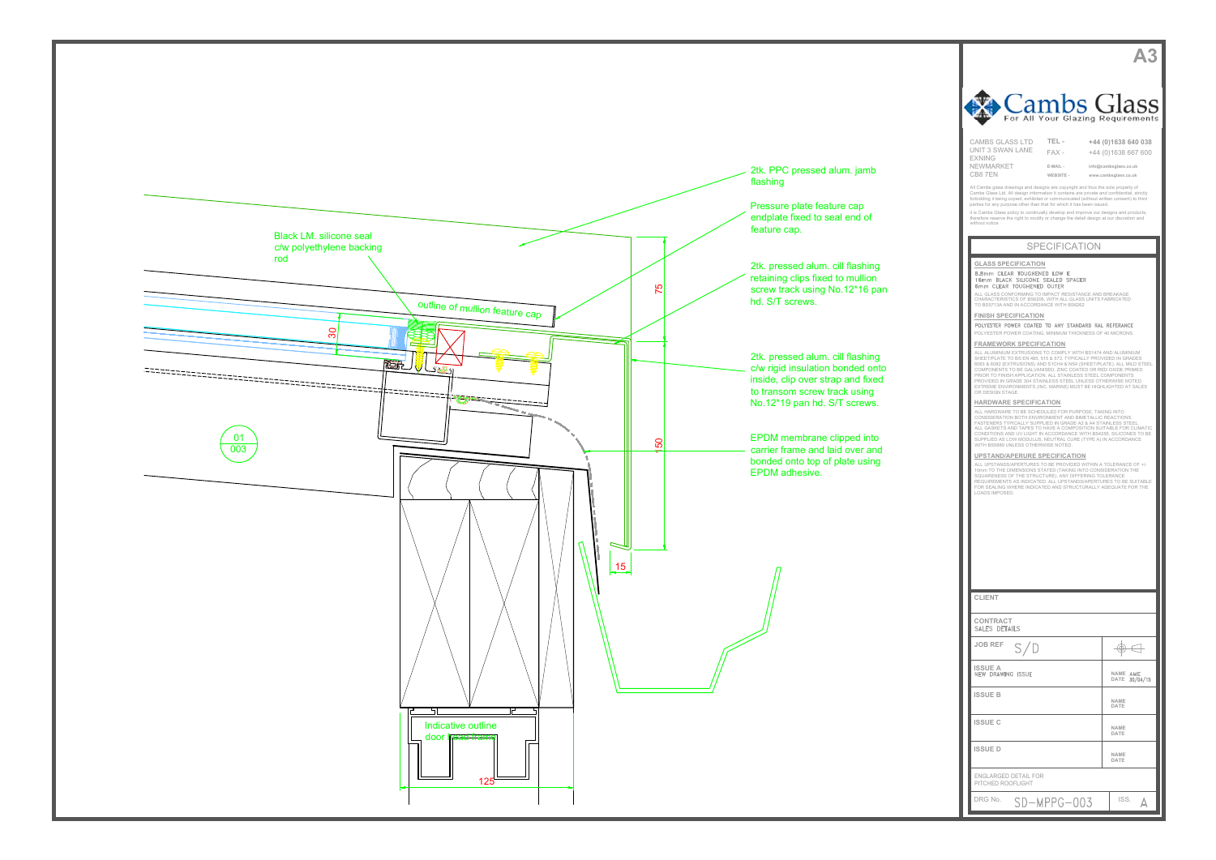



| Cambs Glass<br>For All Your Glazing Requirements                                                                                                                                                                                                                                                                                                                                                                                                                                                                                                                                                                                                                                                                                                                                                                                                                                                                                                                                                                                                                                                                                                                                                                                                                                                                                                                                                                                                                                                                                                                                                                                                                                                                                                                                                                                                                 |                                                                                             |  |
|------------------------------------------------------------------------------------------------------------------------------------------------------------------------------------------------------------------------------------------------------------------------------------------------------------------------------------------------------------------------------------------------------------------------------------------------------------------------------------------------------------------------------------------------------------------------------------------------------------------------------------------------------------------------------------------------------------------------------------------------------------------------------------------------------------------------------------------------------------------------------------------------------------------------------------------------------------------------------------------------------------------------------------------------------------------------------------------------------------------------------------------------------------------------------------------------------------------------------------------------------------------------------------------------------------------------------------------------------------------------------------------------------------------------------------------------------------------------------------------------------------------------------------------------------------------------------------------------------------------------------------------------------------------------------------------------------------------------------------------------------------------------------------------------------------------------------------------------------------------|---------------------------------------------------------------------------------------------|--|
| <b>CAMBS GLASS LTD</b><br>TEL-<br>UNIT 3 SWAN LANE<br>$FAX -$<br><b>EXNING</b><br>NEWMARKET<br>E-MAIL -<br>CB8 7EN<br>WEBSITE -<br>All Cambs glass drawings and designs are copyright and thus the sole property of<br>Cambs Glass Ltd. All design information it contains are private and confidential, strictly<br>forbidding it being copied, exhibited or communicated (without written consent) to third                                                                                                                                                                                                                                                                                                                                                                                                                                                                                                                                                                                                                                                                                                                                                                                                                                                                                                                                                                                                                                                                                                                                                                                                                                                                                                                                                                                                                                                    | +44 (0)1638 640 038<br>+44 (0)1638 667 600<br>info@cambsglass.co.uk<br>www.cambsglass.co.uk |  |
| parties for any purpose other than that for which it has been issued.<br>it is Cambs Glass policy to continually develop and improve our designs and products,<br>therefore reserve the right to modify or change the detail design at our discretion and<br>without notice                                                                                                                                                                                                                                                                                                                                                                                                                                                                                                                                                                                                                                                                                                                                                                                                                                                                                                                                                                                                                                                                                                                                                                                                                                                                                                                                                                                                                                                                                                                                                                                      |                                                                                             |  |
| <b>SPECIFICATION</b>                                                                                                                                                                                                                                                                                                                                                                                                                                                                                                                                                                                                                                                                                                                                                                                                                                                                                                                                                                                                                                                                                                                                                                                                                                                                                                                                                                                                                                                                                                                                                                                                                                                                                                                                                                                                                                             |                                                                                             |  |
| <b>GLASS SPECIFICATION</b><br>8.8mm CLEAR TOUGHENED LOW E<br>16mm BLACK SILICONE SEALED SPACER<br>6mm CLEAR TOUGHENED OUTER<br>ALL GLASS CONFORMING TO IMPACT RESISTANCE AND BREAKAGE<br>CHARACTERISTICS OF BS6206, WITH ALL GLASS UNITS FABRICATED<br>TO BS5713A AND IN ACCORDANCE WITH BS6262<br><b>FINISH SPECIFICATION</b><br>POLYESTER POWER COATED TO ANY STANDARD RAL REFERANCE<br>POLYESTER POWER COATING, MINIMUM THICKNESS OF 40 MICRONS.<br><b>FRAMEWORK SPECIFICATION</b><br>ALL ALUMINIUM EXTRUSIONS TO COMPLY WITH BS1474 AND ALUMINIUM<br>SHEET/PLATE TO BS EN 485, 515 & 573. TYPICALLY PROVIDED IN GRADES<br>6063 & 6082 (EXTRUSIONS) AND S1CH4 & NS4 (SHEET/PLATE). ALL MILD STEEL<br>COMPONENTS TO BE GALVANISED, ZINC COATED OR RED OXIDE PRIMED<br>PRIOR TO FINISH APPLICATION. ALL STAINLESS STEEL COMPONENTS<br>PROVIDED IN GRADE 304 STAINLESS STEEL UNLESS OTHERWISE NOTED.<br>EXTREME ENVIRONMENTS (INC. MARINE) MUST BE HIGHLIGHTED AT SALES<br>OR DESIGN STAGE.<br><b>HARDWARE SPECIFICATION</b><br>ALL HARDWARE TO BE SCHEDULED FOR PURPOSE, TAKING INTO<br>CONSIDERATION BOTH ENVIRONMENT AND BIMETALLIC REACTIONS.<br>FASTENERS TYPICALLY SUPPLIED IN GRADE A2 & A4 STAINLESS STEEL.<br>ALL GASKETS AND TAPES TO HAVE A COMPOSITION SUITABLE FOR CLIMATIC<br>CONDITIONS AND UV LIGHT IN ACCORDANCE WITH BS4255. SILICONES TO BE<br>SUPPLIED AS LOW MODULUS, NEUTRAL CURE (TYPE A) IN ACCORDANCE<br>WITH BS5889 UNLESS OTHERWISE NOTED.<br><b>UPSTAND/APERURE SPECIFICATION</b><br>ALL UPSTANDS/APERTURES TO BE PROVIDED WITHIN A TOLERANCE OF +/-<br>10mm TO THE DIMENSIONS STATED (TAKING INTO CONSIDERATION THE<br>SQUARENESS OF THE STRUCTURE). ANY DIFFERING TOLERANCE<br>REQUIREMENTS AS INDICATED. ALL UPSTANDS/APERTURES TO BE SUITABLE<br>FOR SEALING WHERE INDICATED AND STRUCTURALLY ADEQUATE FOR THE<br>LOADS IMPOSED. |                                                                                             |  |
| <b>CLIENT</b>                                                                                                                                                                                                                                                                                                                                                                                                                                                                                                                                                                                                                                                                                                                                                                                                                                                                                                                                                                                                                                                                                                                                                                                                                                                                                                                                                                                                                                                                                                                                                                                                                                                                                                                                                                                                                                                    |                                                                                             |  |
| <b>CONTRACT</b><br>SALES DETAILS                                                                                                                                                                                                                                                                                                                                                                                                                                                                                                                                                                                                                                                                                                                                                                                                                                                                                                                                                                                                                                                                                                                                                                                                                                                                                                                                                                                                                                                                                                                                                                                                                                                                                                                                                                                                                                 |                                                                                             |  |
| <b>JOB REF</b><br>S/D                                                                                                                                                                                                                                                                                                                                                                                                                                                                                                                                                                                                                                                                                                                                                                                                                                                                                                                                                                                                                                                                                                                                                                                                                                                                                                                                                                                                                                                                                                                                                                                                                                                                                                                                                                                                                                            |                                                                                             |  |
| <b>ISSUE A</b><br><b>NEW DRAWING ISSUE</b>                                                                                                                                                                                                                                                                                                                                                                                                                                                                                                                                                                                                                                                                                                                                                                                                                                                                                                                                                                                                                                                                                                                                                                                                                                                                                                                                                                                                                                                                                                                                                                                                                                                                                                                                                                                                                       | NAME AME<br><b>DATE</b><br>30/04/15                                                         |  |
| <b>ISSUE B</b>                                                                                                                                                                                                                                                                                                                                                                                                                                                                                                                                                                                                                                                                                                                                                                                                                                                                                                                                                                                                                                                                                                                                                                                                                                                                                                                                                                                                                                                                                                                                                                                                                                                                                                                                                                                                                                                   | NAME<br>DATE                                                                                |  |
| <b>ISSUE C</b>                                                                                                                                                                                                                                                                                                                                                                                                                                                                                                                                                                                                                                                                                                                                                                                                                                                                                                                                                                                                                                                                                                                                                                                                                                                                                                                                                                                                                                                                                                                                                                                                                                                                                                                                                                                                                                                   | NAME<br>DATE                                                                                |  |
| <b>ISSUED</b>                                                                                                                                                                                                                                                                                                                                                                                                                                                                                                                                                                                                                                                                                                                                                                                                                                                                                                                                                                                                                                                                                                                                                                                                                                                                                                                                                                                                                                                                                                                                                                                                                                                                                                                                                                                                                                                    | NAME<br>DATE                                                                                |  |
| ENGLARGED DETAIL FOR<br>PITCHED ROOFLIGHT                                                                                                                                                                                                                                                                                                                                                                                                                                                                                                                                                                                                                                                                                                                                                                                                                                                                                                                                                                                                                                                                                                                                                                                                                                                                                                                                                                                                                                                                                                                                                                                                                                                                                                                                                                                                                        |                                                                                             |  |
| DRG No.<br>SD-MPPG-003                                                                                                                                                                                                                                                                                                                                                                                                                                                                                                                                                                                                                                                                                                                                                                                                                                                                                                                                                                                                                                                                                                                                                                                                                                                                                                                                                                                                                                                                                                                                                                                                                                                                                                                                                                                                                                           | ISS.<br>Д                                                                                   |  |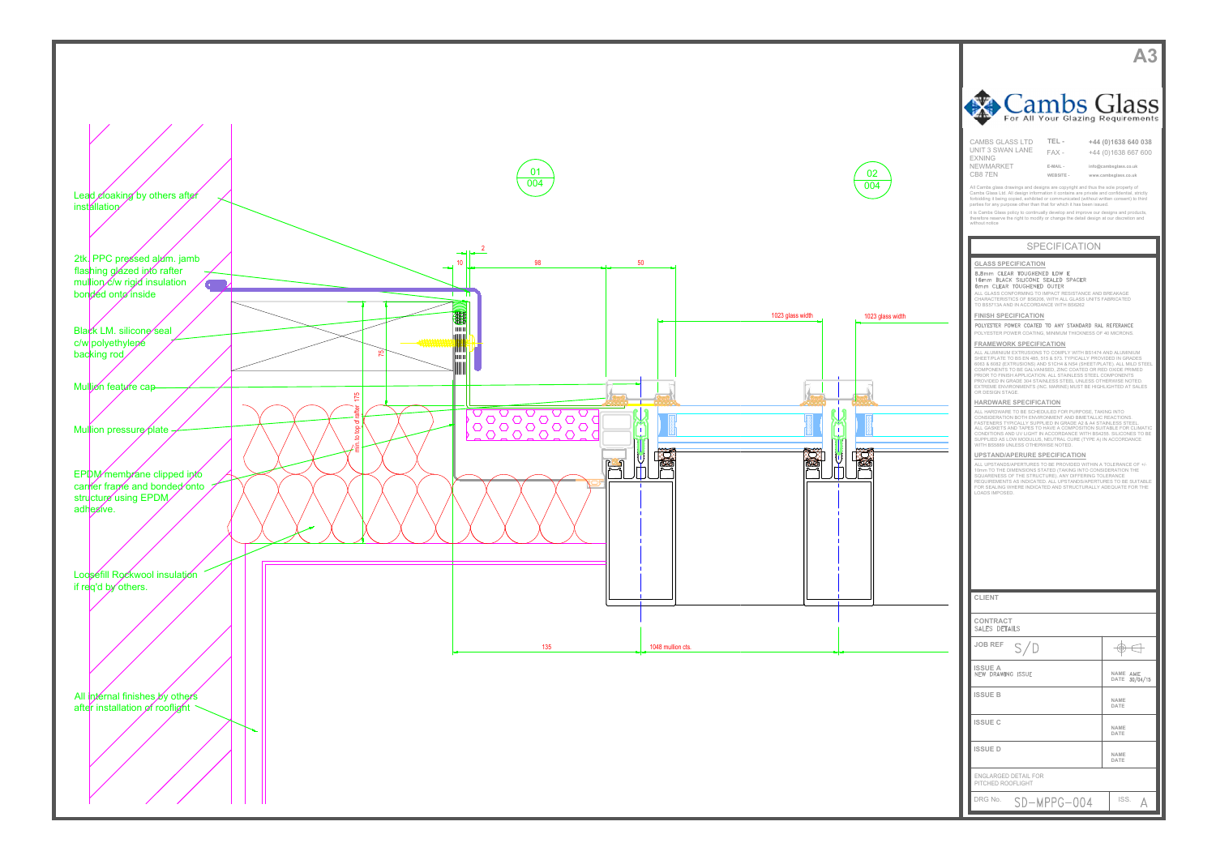



| Cambs Glass<br>For All Your Glazing Requirements                                                                                                                                                                                                                                                                                                                                                                                                                                                   |                                               |  |
|----------------------------------------------------------------------------------------------------------------------------------------------------------------------------------------------------------------------------------------------------------------------------------------------------------------------------------------------------------------------------------------------------------------------------------------------------------------------------------------------------|-----------------------------------------------|--|
| <b>CAMBS GLASS LTD</b><br>TEL-<br>UNIT 3 SWAN LANE<br>$FAX -$                                                                                                                                                                                                                                                                                                                                                                                                                                      | +44 (0)1638 640 038<br>+44 (0)1638 667 600    |  |
| <b>EXNING</b><br>NEWMARKET<br>E-MAIL -<br>CB87EN<br>WEBSITE -                                                                                                                                                                                                                                                                                                                                                                                                                                      | info@cambsglass.co.uk<br>www.cambsglass.co.uk |  |
| All Cambs glass drawings and designs are copyright and thus the sole property of<br>Cambs Glass Ltd. All design information it contains are private and confidential, strictly<br>forbidding it being copied, exhibited or communicated (without written consent) to third<br>parties for any purpose other than that for which it has been issued.                                                                                                                                                |                                               |  |
| it is Cambs Glass policy to continually develop and improve our designs and products,<br>therefore reserve the right to modify or change the detail design at our discretion and<br>without notice                                                                                                                                                                                                                                                                                                 |                                               |  |
| <b>SPECIFICATION</b>                                                                                                                                                                                                                                                                                                                                                                                                                                                                               |                                               |  |
| <b>GLASS SPECIFICATION</b><br>8.8mm CLEAR TOUGHENED LOW E<br>16mm BLACK SILICONE SEALED SPACER                                                                                                                                                                                                                                                                                                                                                                                                     |                                               |  |
| 6mm CLEAR TOUGHENED OUTER<br>ALL GLASS CONFORMING TO IMPACT RESISTANCE AND BREAKAGE<br>CHARACTERISTICS OF BS6206, WITH ALL GLASS UNITS FABRICATED                                                                                                                                                                                                                                                                                                                                                  |                                               |  |
| TO BS5713A AND IN ACCORDANCE WITH BS6262<br><b>FINISH SPECIFICATION</b><br>POLYESTER POWER COATED TO ANY STANDARD RAL REFERANCE                                                                                                                                                                                                                                                                                                                                                                    |                                               |  |
| POLYESTER POWER COATING, MINIMUM THICKNESS OF 40 MICRONS.<br><b>FRAMEWORK SPECIFICATION</b>                                                                                                                                                                                                                                                                                                                                                                                                        |                                               |  |
| ALL ALUMINIUM EXTRUSIONS TO COMPLY WITH BS1474 AND ALUMINIUM<br>SHEET/PLATE TO BS EN 485, 515 & 573. TYPICALLY PROVIDED IN GRADES<br>6063 & 6082 (EXTRUSIONS) AND S1CH4 & NS4 (SHEET/PLATE). ALL MILD STEEL<br>COMPONENTS TO BE GALVANISED, ZINC COATED OR RED OXIDE PRIMED<br>PRIOR TO FINISH APPLICATION. ALL STAINLESS STEEL COMPONENTS<br>PROVIDED IN GRADE 304 STAINLESS STEEL UNLESS OTHERWISE NOTED.<br>EXTREME ENVIRONMENTS (INC. MARINE) MUST BE HIGHLIGHTED AT SALES<br>OR DESIGN STAGE. |                                               |  |
| HARDWARE SPECIFICATION<br>ALL HARDWARE TO BE SCHEDULED FOR PURPOSE, TAKING INTO<br>CONSIDERATION BOTH ENVIRONMENT AND BIMETALLIC REACTIONS.<br>FASTENERS TYPICALLY SUPPLIED IN GRADE A2 & A4 STAINLESS STEEL.<br>ALL GASKETS AND TAPES TO HAVE A COMPOSITION SUITABLE FOR CLIMATIC<br>CONDITIONS AND UV LIGHT IN ACCORDANCE WITH BS4255. SILICONES TO BE<br>SUPPLIED AS LOW MODULUS, NEUTRAL CURE (TYPE A) IN ACCORDANCE<br>WITH BS5889 UNLESS OTHERWISE NOTED.                                    |                                               |  |
| UPSTAND/APERURE SPECIFICATION<br>ALL UPSTANDS/APERTURES TO BE PROVIDED WITHIN A TOLERANCE OF +/-<br>10mm TO THE DIMENSIONS STATED (TAKING INTO CONSIDERATION THE<br>SQUARENESS OF THE STRUCTURE). ANY DIFFERING TOLERANCE<br>REQUIREMENTS AS INDICATED. ALL UPSTANDS/APERTURES TO BE SUITABLE<br>FOR SEALING WHERE INDICATED AND STRUCTURALLY ADEQUATE FOR THE<br>LOADS IMPOSED.                                                                                                                   |                                               |  |
|                                                                                                                                                                                                                                                                                                                                                                                                                                                                                                    |                                               |  |
|                                                                                                                                                                                                                                                                                                                                                                                                                                                                                                    |                                               |  |
|                                                                                                                                                                                                                                                                                                                                                                                                                                                                                                    |                                               |  |
| <b>CLIENT</b>                                                                                                                                                                                                                                                                                                                                                                                                                                                                                      |                                               |  |
| CONTRACT<br>SALES DETAILS                                                                                                                                                                                                                                                                                                                                                                                                                                                                          |                                               |  |
| <b>JOB REF</b><br>S/D                                                                                                                                                                                                                                                                                                                                                                                                                                                                              |                                               |  |
| <b>ISSUE A</b><br><b>NEW DRAWING ISSUE</b>                                                                                                                                                                                                                                                                                                                                                                                                                                                         | NAME AME<br><b>DATE</b><br>30/04/15           |  |
| <b>ISSUE B</b>                                                                                                                                                                                                                                                                                                                                                                                                                                                                                     | <b>NAME</b><br>DATE                           |  |
| <b>ISSUE C</b>                                                                                                                                                                                                                                                                                                                                                                                                                                                                                     | NAME<br>DATE                                  |  |
| <b>ISSUE D</b>                                                                                                                                                                                                                                                                                                                                                                                                                                                                                     | NAME<br>DATE                                  |  |
| <b>ENGLARGED DETAIL FOR</b><br>PITCHED ROOFLIGHT                                                                                                                                                                                                                                                                                                                                                                                                                                                   |                                               |  |
| SD-MPPG-004<br>DRG No.                                                                                                                                                                                                                                                                                                                                                                                                                                                                             | ISS.                                          |  |